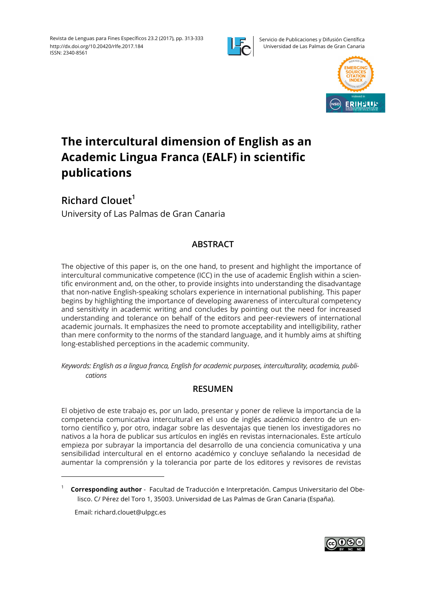

Servicio de Publicaciones y Difusión Científica Universidad de Las Palmas de Gran Canaria



# **The intercultural dimension of English as an Academic Lingua Franca (EALF) in scientific publications**

**Richard Clouet1** University of Las Palmas de Gran Canaria

# **ABSTRACT**

The objective of this paper is, on the one hand, to present and highlight the importance of intercultural communicative competence (ICC) in the use of academic English within a scientific environment and, on the other, to provide insights into understanding the disadvantage that non-native English-speaking scholars experience in international publishing. This paper begins by highlighting the importance of developing awareness of intercultural competency and sensitivity in academic writing and concludes by pointing out the need for increased understanding and tolerance on behalf of the editors and peer-reviewers of international academic journals. It emphasizes the need to promote acceptability and intelligibility, rather than mere conformity to the norms of the standard language, and it humbly aims at shifting long-established perceptions in the academic community.

*Keywords: English as a lingua franca, English for academic purposes, interculturality, academia, publications*

## **RESUMEN**

El objetivo de este trabajo es, por un lado, presentar y poner de relieve la importancia de la competencia comunicativa intercultural en el uso de inglés académico dentro de un entorno científico y, por otro, indagar sobre las desventajas que tienen los investigadores no nativos a la hora de publicar sus artículos en inglés en revistas internacionales. Este artículo empieza por subrayar la importancia del desarrollo de una conciencia comunicativa y una sensibilidad intercultural en el entorno académico y concluye señalando la necesidad de aumentar la comprensión y la tolerancia por parte de los editores y revisores de revistas

Email: richard.clouet@ulpgc.es



<sup>1</sup> **Corresponding author** - Facultad de Traducción e Interpretación. Campus Universitario del Obelisco. C/ Pérez del Toro 1, 35003. Universidad de Las Palmas de Gran Canaria (España).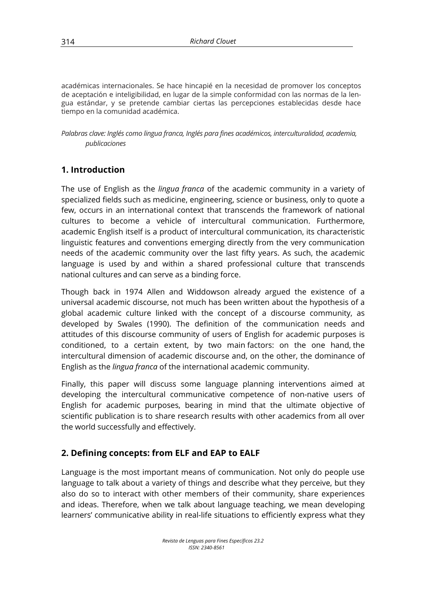académicas internacionales. Se hace hincapié en la necesidad de promover los conceptos de aceptación e inteligibilidad, en lugar de la simple conformidad con las normas de la lengua estándar, y se pretende cambiar ciertas las percepciones establecidas desde hace tiempo en la comunidad académica.

*Palabras clave: Inglés como lingua franca, Inglés para fines académicos, interculturalidad, academia, publicaciones*

# **1. Introduction**

The use of English as the *lingua franca* of the academic community in a variety of specialized fields such as medicine, engineering, science or business, only to quote a few, occurs in an international context that transcends the framework of national cultures to become a vehicle of intercultural communication. Furthermore, academic English itself is a product of intercultural communication, its characteristic linguistic features and conventions emerging directly from the very communication needs of the academic community over the last fifty years. As such, the academic language is used by and within a shared professional culture that transcends national cultures and can serve as a binding force.

Though back in 1974 Allen and Widdowson already argued the existence of a universal academic discourse, not much has been written about the hypothesis of a global academic culture linked with the concept of a discourse community, as developed by Swales (1990). The definition of the communication needs and attitudes of this discourse community of users of English for academic purposes is conditioned, to a certain extent, by two main factors: on the one hand, the intercultural dimension of academic discourse and, on the other, the dominance of English as the *lingua franca* of the international academic community.

Finally, this paper will discuss some language planning interventions aimed at developing the intercultural communicative competence of non-native users of English for academic purposes, bearing in mind that the ultimate objective of scientific publication is to share research results with other academics from all over the world successfully and effectively.

## **2. Defining concepts: from ELF and EAP to EALF**

Language is the most important means of communication. Not only do people use language to talk about a variety of things and describe what they perceive, but they also do so to interact with other members of their community, share experiences and ideas. Therefore, when we talk about language teaching, we mean developing learners' communicative ability in real-life situations to efficiently express what they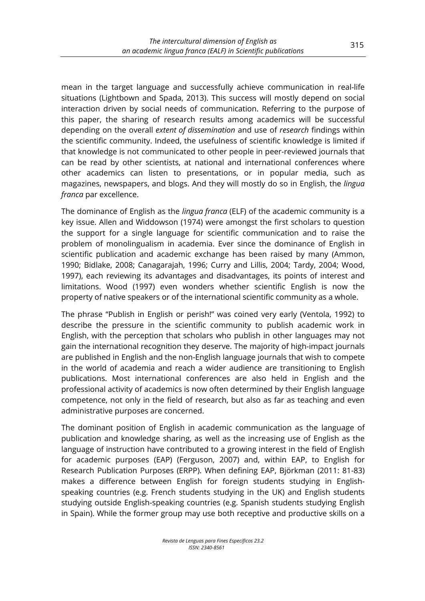mean in the target language and successfully achieve communication in real-life situations (Lightbown and Spada, 2013). This success will mostly depend on social interaction driven by social needs of communication. Referring to the purpose of this paper, the sharing of research results among academics will be successful depending on the overall *extent of dissemination* and use of *research* findings within the scientific community. Indeed, the usefulness of scientific knowledge is limited if that knowledge is not communicated to other people in peer-reviewed journals that can be read by other scientists, at national and international conferences where other academics can listen to presentations, or in popular media, such as magazines, newspapers, and blogs. And they will mostly do so in English, the *lingua franca* par excellence.

The dominance of English as the *lingua franca* (ELF) of the academic community is a key issue. Allen and Widdowson (1974) were amongst the first scholars to question the support for a single language for scientific communication and to raise the problem of monolingualism in academia. Ever since the dominance of English in scientific publication and academic exchange has been raised by many (Ammon, 1990; Bidlake, 2008; Canagarajah, 1996; Curry and Lillis, 2004; Tardy, 2004; Wood, 1997), each reviewing its advantages and disadvantages, its points of interest and limitations. Wood (1997) even wonders whether scientific English is now the property of native speakers or of the international scientific community as a whole.

The phrase "Publish in English or perish!" was coined very early (Ventola, 1992) to describe the pressure in the scientific community to publish academic work in English, with the perception that scholars who publish in other languages may not gain the international recognition they deserve. The majority of high-impact journals are published in English and the non-English language journals that wish to compete in the world of academia and reach a wider audience are transitioning to English publications. Most international conferences are also held in English and the professional activity of academics is now often determined by their English language competence, not only in the field of research, but also as far as teaching and even administrative purposes are concerned.

The dominant position of English in academic communication as the language of publication and knowledge sharing, as well as the increasing use of English as the language of instruction have contributed to a growing interest in the field of English for academic purposes (EAP) (Ferguson, 2007) and, within EAP, to English for Research Publication Purposes (ERPP). When defining EAP, Björkman (2011: 81-83) makes a difference between English for foreign students studying in Englishspeaking countries (e.g. French students studying in the UK) and English students studying outside English-speaking countries (e.g. Spanish students studying English in Spain). While the former group may use both receptive and productive skills on a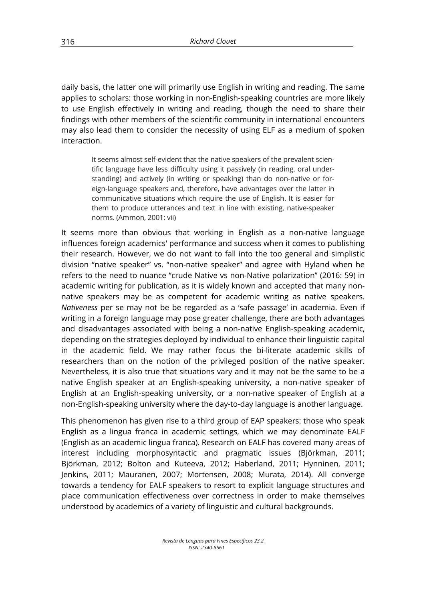daily basis, the latter one will primarily use English in writing and reading. The same applies to scholars: those working in non-English-speaking countries are more likely to use English effectively in writing and reading, though the need to share their findings with other members of the scientific community in international encounters may also lead them to consider the necessity of using ELF as a medium of spoken interaction.

It seems almost self-evident that the native speakers of the prevalent scientific language have less difficulty using it passively (in reading, oral understanding) and actively (in writing or speaking) than do non-native or foreign-language speakers and, therefore, have advantages over the latter in communicative situations which require the use of English. It is easier for them to produce utterances and text in line with existing, native-speaker norms. (Ammon, 2001: vii)

It seems more than obvious that working in English as a non-native language influences foreign academics' performance and success when it comes to publishing their research. However, we do not want to fall into the too general and simplistic division "native speaker" vs. "non-native speaker" and agree with Hyland when he refers to the need to nuance "crude Native vs non-Native polarization" (2016: 59) in academic writing for publication, as it is widely known and accepted that many nonnative speakers may be as competent for academic writing as native speakers. *Nativeness* per se may not be be regarded as a 'safe passage' in academia. Even if writing in a foreign language may pose greater challenge, there are both advantages and disadvantages associated with being a non-native English-speaking academic, depending on the strategies deployed by individual to enhance their linguistic capital in the academic field. We may rather focus the bi-literate academic skills of researchers than on the notion of the privileged position of the native speaker. Nevertheless, it is also true that situations vary and it may not be the same to be a native English speaker at an English-speaking university, a non-native speaker of English at an English-speaking university, or a non-native speaker of English at a non-English-speaking university where the day-to-day language is another language.

This phenomenon has given rise to a third group of EAP speakers: those who speak English as a lingua franca in academic settings, which we may denominate EALF (English as an academic lingua franca). Research on EALF has covered many areas of interest including morphosyntactic and pragmatic issues (Björkman, 2011; Björkman, 2012; Bolton and Kuteeva, 2012; Haberland, 2011; Hynninen, 2011; Jenkins, 2011; Mauranen, 2007; Mortensen, 2008; Murata, 2014). All converge towards a tendency for EALF speakers to resort to explicit language structures and place communication effectiveness over correctness in order to make themselves understood by academics of a variety of linguistic and cultural backgrounds.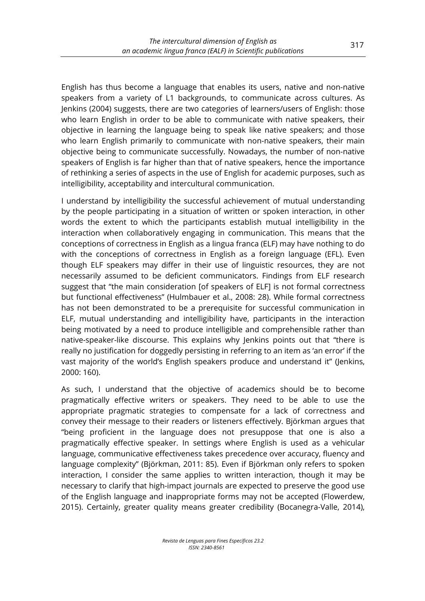English has thus become a language that enables its users, native and non-native speakers from a variety of L1 backgrounds, to communicate across cultures. As Jenkins (2004) suggests, there are two categories of learners/users of English: those who learn English in order to be able to communicate with native speakers, their objective in learning the language being to speak like native speakers; and those who learn English primarily to communicate with non-native speakers, their main objective being to communicate successfully. Nowadays, the number of non-native speakers of English is far higher than that of native speakers, hence the importance of rethinking a series of aspects in the use of English for academic purposes, such as intelligibility, acceptability and intercultural communication.

I understand by intelligibility the successful achievement of mutual understanding by the people participating in a situation of written or spoken interaction, in other words the extent to which the participants establish mutual intelligibility in the interaction when collaboratively engaging in communication. This means that the conceptions of correctness in English as a lingua franca (ELF) may have nothing to do with the conceptions of correctness in English as a foreign language (EFL). Even though ELF speakers may differ in their use of linguistic resources, they are not necessarily assumed to be deficient communicators. Findings from ELF research suggest that "the main consideration [of speakers of ELF] is not formal correctness but functional effectiveness" (Hulmbauer et al., 2008: 28). While formal correctness has not been demonstrated to be a prerequisite for successful communication in ELF, mutual understanding and intelligibility have, participants in the interaction being motivated by a need to produce intelligible and comprehensible rather than native-speaker-like discourse. This explains why Jenkins points out that "there is really no justification for doggedly persisting in referring to an item as 'an error' if the vast majority of the world's English speakers produce and understand it" (Jenkins, 2000: 160).

As such, I understand that the objective of academics should be to become pragmatically effective writers or speakers. They need to be able to use the appropriate pragmatic strategies to compensate for a lack of correctness and convey their message to their readers or listeners effectively. Björkman argues that "being proficient in the language does not presuppose that one is also a pragmatically effective speaker. In settings where English is used as a vehicular language, communicative effectiveness takes precedence over accuracy, fluency and language complexity" (Björkman, 2011: 85). Even if Björkman only refers to spoken interaction, I consider the same applies to written interaction, though it may be necessary to clarify that high-impact journals are expected to preserve the good use of the English language and inappropriate forms may not be accepted (Flowerdew, 2015). Certainly, greater quality means greater credibility (Bocanegra-Valle, 2014),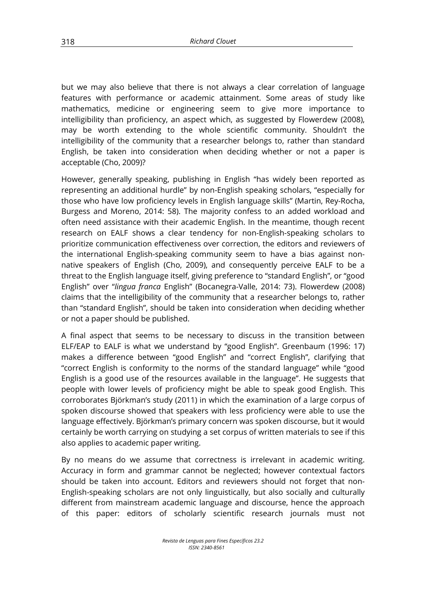but we may also believe that there is not always a clear correlation of language features with performance or academic attainment. Some areas of study like mathematics, medicine or engineering seem to give more importance to intelligibility than proficiency, an aspect which, as suggested by Flowerdew (2008), may be worth extending to the whole scientific community. Shouldn't the intelligibility of the community that a researcher belongs to, rather than standard English, be taken into consideration when deciding whether or not a paper is acceptable (Cho, 2009)?

However, generally speaking, publishing in English "has widely been reported as representing an additional hurdle" by non-English speaking scholars, "especially for those who have low proficiency levels in English language skills" (Martin, Rey-Rocha, Burgess and Moreno, 2014: 58). The majority confess to an added workload and often need assistance with their academic English. In the meantime, though recent research on EALF shows a clear tendency for non-English-speaking scholars to prioritize communication effectiveness over correction, the editors and reviewers of the international English-speaking community seem to have a bias against nonnative speakers of English (Cho, 2009), and consequently perceive EALF to be a threat to the English language itself, giving preference to "standard English", or "good English" over "*lingua franca* English" (Bocanegra-Valle, 2014: 73). Flowerdew (2008) claims that the intelligibility of the community that a researcher belongs to, rather than "standard English", should be taken into consideration when deciding whether or not a paper should be published.

A final aspect that seems to be necessary to discuss in the transition between ELF/EAP to EALF is what we understand by "good English". Greenbaum (1996: 17) makes a difference between "good English" and "correct English", clarifying that "correct English is conformity to the norms of the standard language" while "good English is a good use of the resources available in the language". He suggests that people with lower levels of proficiency might be able to speak good English. This corroborates Björkman's study (2011) in which the examination of a large corpus of spoken discourse showed that speakers with less proficiency were able to use the language effectively. Björkman's primary concern was spoken discourse, but it would certainly be worth carrying on studying a set corpus of written materials to see if this also applies to academic paper writing.

By no means do we assume that correctness is irrelevant in academic writing. Accuracy in form and grammar cannot be neglected; however contextual factors should be taken into account. Editors and reviewers should not forget that non-English-speaking scholars are not only linguistically, but also socially and culturally different from mainstream academic language and discourse, hence the approach of this paper: editors of scholarly scientific research journals must not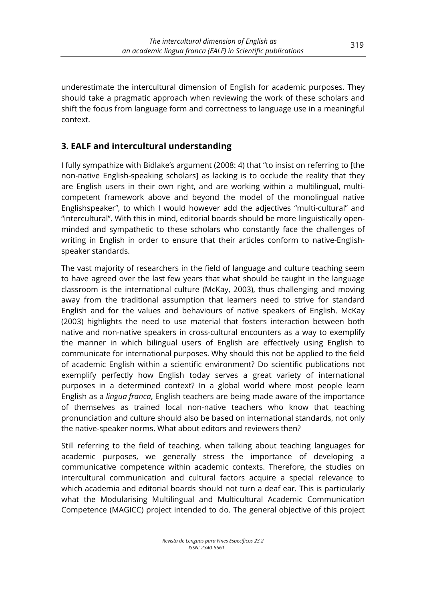underestimate the intercultural dimension of English for academic purposes. They should take a pragmatic approach when reviewing the work of these scholars and shift the focus from language form and correctness to language use in a meaningful context.

# **3. EALF and intercultural understanding**

I fully sympathize with Bidlake's argument (2008: 4) that "to insist on referring to [the non-native English-speaking scholars] as lacking is to occlude the reality that they are English users in their own right, and are working within a multilingual, multicompetent framework above and beyond the model of the monolingual native Englishspeaker", to which I would however add the adjectives "multi-cultural" and "intercultural". With this in mind, editorial boards should be more linguistically openminded and sympathetic to these scholars who constantly face the challenges of writing in English in order to ensure that their articles conform to native-Englishspeaker standards.

The vast majority of researchers in the field of language and culture teaching seem to have agreed over the last few years that what should be taught in the language classroom is the international culture (McKay, 2003), thus challenging and moving away from the traditional assumption that learners need to strive for standard English and for the values and behaviours of native speakers of English. McKay (2003) highlights the need to use material that fosters interaction between both native and non-native speakers in cross-cultural encounters as a way to exemplify the manner in which bilingual users of English are effectively using English to communicate for international purposes. Why should this not be applied to the field of academic English within a scientific environment? Do scientific publications not exemplify perfectly how English today serves a great variety of international purposes in a determined context? In a global world where most people learn English as a *lingua franca*, English teachers are being made aware of the importance of themselves as trained local non-native teachers who know that teaching pronunciation and culture should also be based on international standards, not only the native-speaker norms. What about editors and reviewers then?

Still referring to the field of teaching, when talking about teaching languages for academic purposes, we generally stress the importance of developing a communicative competence within academic contexts. Therefore, the studies on intercultural communication and cultural factors acquire a special relevance to which academia and editorial boards should not turn a deaf ear. This is particularly what the Modularising Multilingual and Multicultural Academic Communication Competence (MAGICC) project intended to do. The general objective of this project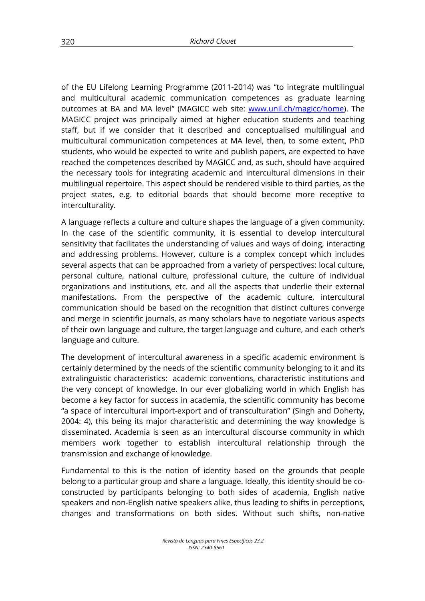of the EU Lifelong Learning Programme (2011-2014) was "to integrate multilingual and multicultural academic communication competences as graduate learning outcomes at BA and MA level" (MAGICC web site: www.unil.ch/magicc/home). The MAGICC project was principally aimed at higher education students and teaching staff, but if we consider that it described and conceptualised multilingual and multicultural communication competences at MA level, then, to some extent, PhD students, who would be expected to write and publish papers, are expected to have reached the competences described by MAGICC and, as such, should have acquired the necessary tools for integrating academic and intercultural dimensions in their multilingual repertoire. This aspect should be rendered visible to third parties, as the project states, e.g. to editorial boards that should become more receptive to interculturality.

A language reflects a culture and culture shapes the language of a given community. In the case of the scientific community, it is essential to develop intercultural sensitivity that facilitates the understanding of values and ways of doing, interacting and addressing problems. However, culture is a complex concept which includes several aspects that can be approached from a variety of perspectives: local culture, personal culture, national culture, professional culture, the culture of individual organizations and institutions, etc. and all the aspects that underlie their external manifestations. From the perspective of the academic culture, intercultural communication should be based on the recognition that distinct cultures converge and merge in scientific journals, as many scholars have to negotiate various aspects of their own language and culture, the target language and culture, and each other's language and culture.

The development of intercultural awareness in a specific academic environment is certainly determined by the needs of the scientific community belonging to it and its extralinguistic characteristics: academic conventions, characteristic institutions and the very concept of knowledge. In our ever globalizing world in which English has become a key factor for success in academia, the scientific community has become "a space of intercultural import-export and of transculturation" (Singh and Doherty, 2004: 4), this being its major characteristic and determining the way knowledge is disseminated. Academia is seen as an intercultural discourse community in which members work together to establish intercultural relationship through the transmission and exchange of knowledge.

Fundamental to this is the notion of identity based on the grounds that people belong to a particular group and share a language. Ideally, this identity should be coconstructed by participants belonging to both sides of academia, English native speakers and non-English native speakers alike, thus leading to shifts in perceptions, changes and transformations on both sides. Without such shifts, non-native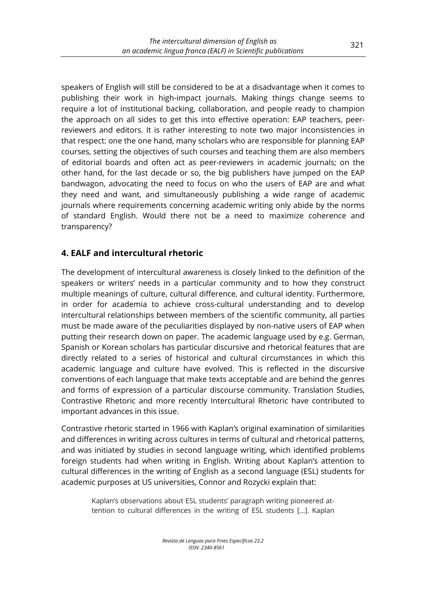speakers of English will still be considered to be at a disadvantage when it comes to publishing their work in high-impact journals. Making things change seems to require a lot of institutional backing, collaboration, and people ready to champion the approach on all sides to get this into effective operation: EAP teachers, peerreviewers and editors. It is rather interesting to note two major inconsistencies in that respect: one the one hand, many scholars who are responsible for planning EAP courses, setting the objectives of such courses and teaching them are also members of editorial boards and often act as peer-reviewers in academic journals; on the other hand, for the last decade or so, the big publishers have jumped on the EAP bandwagon, advocating the need to focus on who the users of EAP are and what they need and want, and simultaneously publishing a wide range of academic journals where requirements concerning academic writing only abide by the norms of standard English. Would there not be a need to maximize coherence and transparency?

# **4. EALF and intercultural rhetoric**

The development of intercultural awareness is closely linked to the definition of the speakers or writers' needs in a particular community and to how they construct multiple meanings of culture, cultural difference, and cultural identity. Furthermore, in order for academia to achieve cross-cultural understanding and to develop intercultural relationships between members of the scientific community, all parties must be made aware of the peculiarities displayed by non-native users of EAP when putting their research down on paper. The academic language used by e.g. German, Spanish or Korean scholars has particular discursive and rhetorical features that are directly related to a series of historical and cultural circumstances in which this academic language and culture have evolved. This is reflected in the discursive conventions of each language that make texts acceptable and are behind the genres and forms of expression of a particular discourse community. Translation Studies, Contrastive Rhetoric and more recently Intercultural Rhetoric have contributed to important advances in this issue.

Contrastive rhetoric started in 1966 with Kaplan's original examination of similarities and differences in writing across cultures in terms of cultural and rhetorical patterns, and was initiated by studies in second language writing, which identified problems foreign students had when writing in English. Writing about Kaplan's attention to cultural differences in the writing of English as a second language (ESL) students for academic purposes at US universities, Connor and Rozycki explain that:

Kaplan's observations about ESL students' paragraph writing pioneered attention to cultural differences in the writing of ESL students […]. Kaplan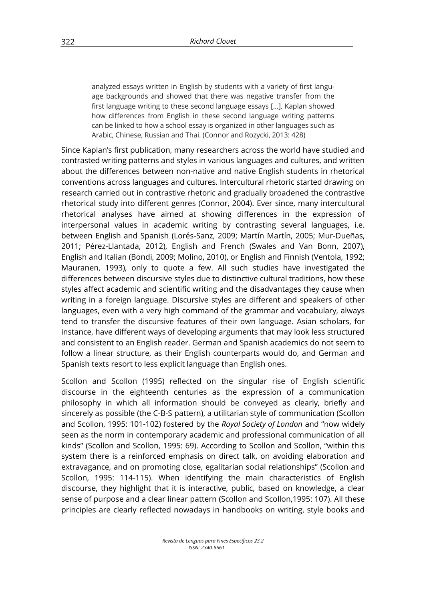analyzed essays written in English by students with a variety of first language backgrounds and showed that there was negative transfer from the first language writing to these second language essays […]. Kaplan showed how differences from English in these second language writing patterns can be linked to how a school essay is organized in other languages such as Arabic, Chinese, Russian and Thai. (Connor and Rozycki, 2013: 428)

Since Kaplan's first publication, many researchers across the world have studied and contrasted writing patterns and styles in various languages and cultures, and written about the differences between non-native and native English students in rhetorical conventions across languages and cultures. Intercultural rhetoric started drawing on research carried out in contrastive rhetoric and gradually broadened the contrastive rhetorical study into different genres (Connor, 2004). Ever since, many intercultural rhetorical analyses have aimed at showing differences in the expression of interpersonal values in academic writing by contrasting several languages, i.e. between English and Spanish (Lorés-Sanz, 2009; Martín Martín, 2005; Mur-Dueñas, 2011; Pérez-Llantada, 2012), English and French (Swales and Van Bonn, 2007), English and Italian (Bondi, 2009; Molino, 2010), or English and Finnish (Ventola, 1992; Mauranen, 1993), only to quote a few. All such studies have investigated the differences between discursive styles due to distinctive cultural traditions, how these styles affect academic and scientific writing and the disadvantages they cause when writing in a foreign language. Discursive styles are different and speakers of other languages, even with a very high command of the grammar and vocabulary, always tend to transfer the discursive features of their own language. Asian scholars, for instance, have different ways of developing arguments that may look less structured and consistent to an English reader. German and Spanish academics do not seem to follow a linear structure, as their English counterparts would do, and German and Spanish texts resort to less explicit language than English ones.

Scollon and Scollon (1995) reflected on the singular rise of English scientific discourse in the eighteenth centuries as the expression of a communication philosophy in which all information should be conveyed as clearly, briefly and sincerely as possible (the C-B-S pattern), a utilitarian style of communication (Scollon and Scollon, 1995: 101-102) fostered by the *Royal Society of London* and "now widely seen as the norm in contemporary academic and professional communication of all kinds" (Scollon and Scollon, 1995: 69). According to Scollon and Scollon, "within this system there is a reinforced emphasis on direct talk, on avoiding elaboration and extravagance, and on promoting close, egalitarian social relationships" (Scollon and Scollon, 1995: 114-115). When identifying the main characteristics of English discourse, they highlight that it is interactive, public, based on knowledge, a clear sense of purpose and a clear linear pattern (Scollon and Scollon,1995: 107). All these principles are clearly reflected nowadays in handbooks on writing, style books and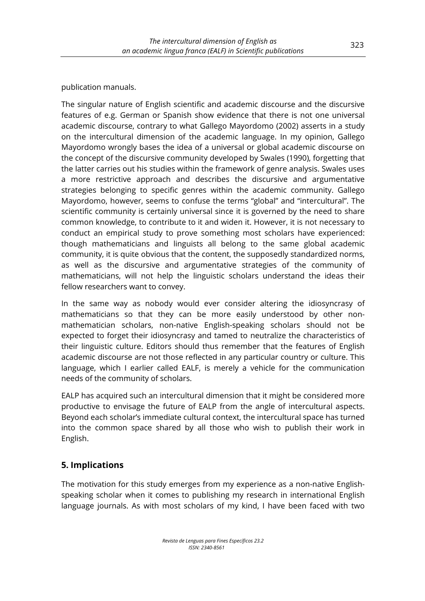publication manuals.

The singular nature of English scientific and academic discourse and the discursive features of e.g. German or Spanish show evidence that there is not one universal academic discourse, contrary to what Gallego Mayordomo (2002) asserts in a study on the intercultural dimension of the academic language. In my opinion, Gallego Mayordomo wrongly bases the idea of a universal or global academic discourse on the concept of the discursive community developed by Swales (1990), forgetting that the latter carries out his studies within the framework of genre analysis. Swales uses a more restrictive approach and describes the discursive and argumentative strategies belonging to specific genres within the academic community. Gallego Mayordomo, however, seems to confuse the terms "global" and "intercultural". The scientific community is certainly universal since it is governed by the need to share common knowledge, to contribute to it and widen it. However, it is not necessary to conduct an empirical study to prove something most scholars have experienced: though mathematicians and linguists all belong to the same global academic community, it is quite obvious that the content, the supposedly standardized norms, as well as the discursive and argumentative strategies of the community of mathematicians, will not help the linguistic scholars understand the ideas their fellow researchers want to convey.

In the same way as nobody would ever consider altering the idiosyncrasy of mathematicians so that they can be more easily understood by other nonmathematician scholars, non-native English-speaking scholars should not be expected to forget their idiosyncrasy and tamed to neutralize the characteristics of their linguistic culture. Editors should thus remember that the features of English academic discourse are not those reflected in any particular country or culture. This language, which I earlier called EALF, is merely a vehicle for the communication needs of the community of scholars.

EALP has acquired such an intercultural dimension that it might be considered more productive to envisage the future of EALP from the angle of intercultural aspects. Beyond each scholar's immediate cultural context, the intercultural space has turned into the common space shared by all those who wish to publish their work in English.

# **5. Implications**

The motivation for this study emerges from my experience as a non-native Englishspeaking scholar when it comes to publishing my research in international English language journals. As with most scholars of my kind, I have been faced with two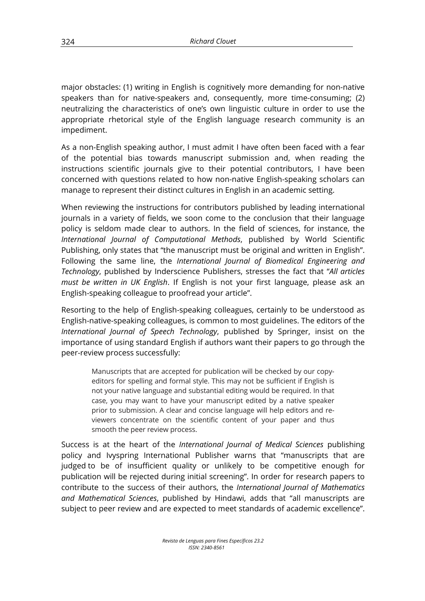major obstacles: (1) writing in English is cognitively more demanding for non-native speakers than for native-speakers and, consequently, more time-consuming; (2) neutralizing the characteristics of one's own linguistic culture in order to use the appropriate rhetorical style of the English language research community is an impediment.

As a non-English speaking author, I must admit I have often been faced with a fear of the potential bias towards manuscript submission and, when reading the instructions scientific journals give to their potential contributors, I have been concerned with questions related to how non-native English-speaking scholars can manage to represent their distinct cultures in English in an academic setting.

When reviewing the instructions for contributors published by leading international journals in a variety of fields, we soon come to the conclusion that their language policy is seldom made clear to authors. In the field of sciences, for instance, the *International Journal of Computational Methods*, published by World Scientific Publishing, only states that "the manuscript must be original and written in English". Following the same line, the *International Journal of Biomedical Engineering and Technology*, published by Inderscience Publishers, stresses the fact that "*All articles must be written in UK English*. If English is not your first language, please ask an English-speaking colleague to proofread your article".

Resorting to the help of English-speaking colleagues, certainly to be understood as English-native-speaking colleagues, is common to most guidelines. The editors of the *International Journal of Speech Technology*, published by Springer, insist on the importance of using standard English if authors want their papers to go through the peer-review process successfully:

Manuscripts that are accepted for publication will be checked by our copyeditors for spelling and formal style. This may not be sufficient if English is not your native language and substantial editing would be required. In that case, you may want to have your manuscript edited by a native speaker prior to submission. A clear and concise language will help editors and reviewers concentrate on the scientific content of your paper and thus smooth the peer review process.

Success is at the heart of the *International Journal of Medical Sciences* publishing policy and Ivyspring International Publisher warns that "manuscripts that are judged to be of insufficient quality or unlikely to be competitive enough for publication will be rejected during initial screening". In order for research papers to contribute to the success of their authors, the *International Journal of Mathematics and Mathematical Sciences*, published by Hindawi, adds that "all manuscripts are subject to peer review and are expected to meet standards of academic excellence".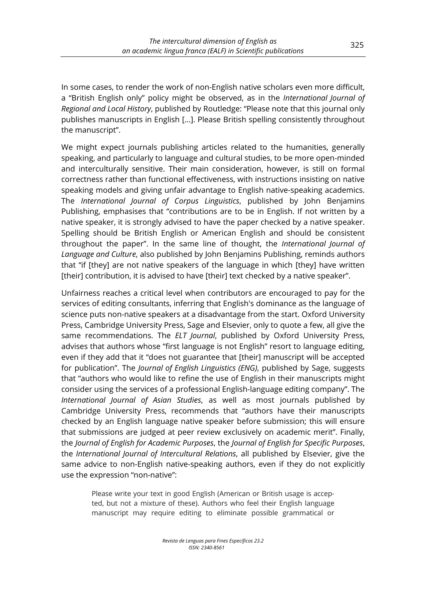In some cases, to render the work of non-English native scholars even more difficult, a "British English only" policy might be observed, as in the *International Journal of Regional and Local History*, published by Routledge: "Please note that this journal only publishes manuscripts in English […]. Please British spelling consistently throughout the manuscript".

We might expect journals publishing articles related to the humanities, generally speaking, and particularly to language and cultural studies, to be more open-minded and interculturally sensitive. Their main consideration, however, is still on formal correctness rather than functional effectiveness, with instructions insisting on native speaking models and giving unfair advantage to English native-speaking academics. The *International Journal of Corpus Linguistics*, published by John Benjamins Publishing, emphasises that "contributions are to be in English. If not written by a native speaker, it is strongly advised to have the paper checked by a native speaker. Spelling should be British English or American English and should be consistent throughout the paper". In the same line of thought, the *International Journal of Language and Culture*, also published by John Benjamins Publishing, reminds authors that "if [they] are not native speakers of the language in which [they] have written [their] contribution, it is advised to have [their] text checked by a native speaker".

Unfairness reaches a critical level when contributors are encouraged to pay for the services of editing consultants, inferring that English's dominance as the language of science puts non-native speakers at a disadvantage from the start. Oxford University Press, Cambridge University Press, Sage and Elsevier, only to quote a few, all give the same recommendations. The *ELT Journal*, published by Oxford University Press, advises that authors whose "first language is not English" resort to language editing, even if they add that it "does not guarantee that [their] manuscript will be accepted for publication". The *Journal of English Linguistics (ENG)*, published by Sage, suggests that "authors who would like to refine the use of English in their manuscripts might consider using the services of a professional English-language editing company". The *International Journal of Asian Studies*, as well as most journals published by Cambridge University Press, recommends that "authors have their manuscripts checked by an English language native speaker before submission; this will ensure that submissions are judged at peer review exclusively on academic merit". Finally, the *Journal of English for Academic Purposes*, the *Journal of English for Specific Purposes*, the *International Journal of Intercultural Relations*, all published by Elsevier, give the same advice to non-English native-speaking authors, even if they do not explicitly use the expression "non-native":

Please write your text in good English (American or British usage is accepted, but not a mixture of these). Authors who feel their English language manuscript may require editing to eliminate possible grammatical or 325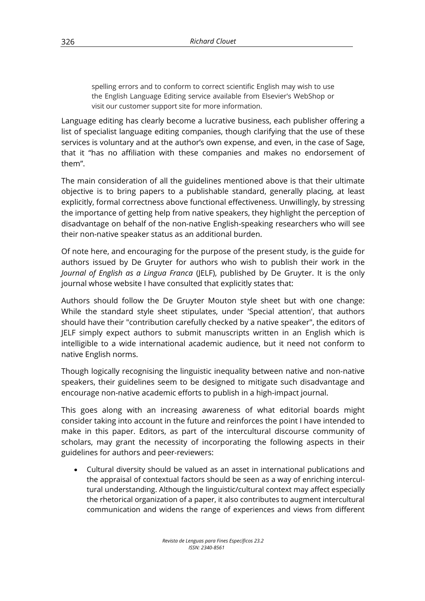spelling errors and to conform to correct scientific English may wish to use the English Language Editing service available from Elsevier's WebShop or visit our customer support site for more information.

Language editing has clearly become a lucrative business, each publisher offering a list of specialist language editing companies, though clarifying that the use of these services is voluntary and at the author's own expense, and even, in the case of Sage, that it "has no affiliation with these companies and makes no endorsement of them".

The main consideration of all the guidelines mentioned above is that their ultimate objective is to bring papers to a publishable standard, generally placing, at least explicitly, formal correctness above functional effectiveness. Unwillingly, by stressing the importance of getting help from native speakers, they highlight the perception of disadvantage on behalf of the non-native English-speaking researchers who will see their non-native speaker status as an additional burden.

Of note here, and encouraging for the purpose of the present study, is the guide for authors issued by De Gruyter for authors who wish to publish their work in the *Journal of English as a Lingua Franca* (JELF), published by De Gruyter. It is the only journal whose website I have consulted that explicitly states that:

Authors should follow the De Gruyter Mouton style sheet but with one change: While the standard style sheet stipulates, under 'Special attention', that authors should have their "contribution carefully checked by a native speaker", the editors of JELF simply expect authors to submit manuscripts written in an English which is intelligible to a wide international academic audience, but it need not conform to native English norms.

Though logically recognising the linguistic inequality between native and non-native speakers, their guidelines seem to be designed to mitigate such disadvantage and encourage non-native academic efforts to publish in a high-impact journal.

This goes along with an increasing awareness of what editorial boards might consider taking into account in the future and reinforces the point I have intended to make in this paper. Editors, as part of the intercultural discourse community of scholars, may grant the necessity of incorporating the following aspects in their guidelines for authors and peer-reviewers:

• Cultural diversity should be valued as an asset in international publications and the appraisal of contextual factors should be seen as a way of enriching intercultural understanding. Although the linguistic/cultural context may affect especially the rhetorical organization of a paper, it also contributes to augment intercultural communication and widens the range of experiences and views from different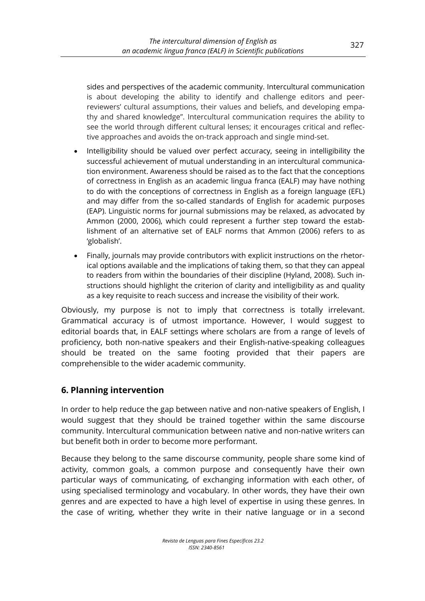sides and perspectives of the academic community. Intercultural communication is about developing the ability to identify and challenge editors and peerreviewers' cultural assumptions, their values and beliefs, and developing empathy and shared knowledge". Intercultural communication requires the ability to see the world through different cultural lenses; it encourages critical and reflective approaches and avoids the on-track approach and single mind-set.

- Intelligibility should be valued over perfect accuracy, seeing in intelligibility the successful achievement of mutual understanding in an intercultural communication environment. Awareness should be raised as to the fact that the conceptions of correctness in English as an academic lingua franca (EALF) may have nothing to do with the conceptions of correctness in English as a foreign language (EFL) and may differ from the so-called standards of English for academic purposes (EAP). Linguistic norms for journal submissions may be relaxed, as advocated by Ammon (2000, 2006), which could represent a further step toward the establishment of an alternative set of EALF norms that Ammon (2006) refers to as 'globalish'.
- Finally, journals may provide contributors with explicit instructions on the rhetorical options available and the implications of taking them, so that they can appeal to readers from within the boundaries of their discipline (Hyland, 2008). Such instructions should highlight the criterion of clarity and intelligibility as and quality as a key requisite to reach success and increase the visibility of their work.

Obviously, my purpose is not to imply that correctness is totally irrelevant. Grammatical accuracy is of utmost importance. However, I would suggest to editorial boards that, in EALF settings where scholars are from a range of levels of proficiency, both non-native speakers and their English-native-speaking colleagues should be treated on the same footing provided that their papers are comprehensible to the wider academic community.

## **6. Planning intervention**

In order to help reduce the gap between native and non-native speakers of English, I would suggest that they should be trained together within the same discourse community. Intercultural communication between native and non-native writers can but benefit both in order to become more performant.

Because they belong to the same discourse community, people share some kind of activity, common goals, a common purpose and consequently have their own particular ways of communicating, of exchanging information with each other, of using specialised terminology and vocabulary. In other words, they have their own genres and are expected to have a high level of expertise in using these genres. In the case of writing, whether they write in their native language or in a second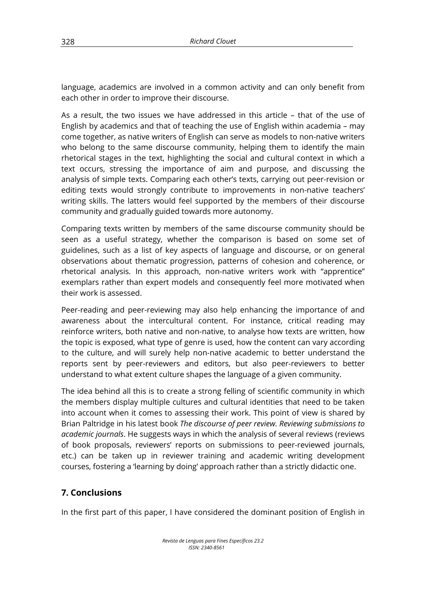language, academics are involved in a common activity and can only benefit from each other in order to improve their discourse.

As a result, the two issues we have addressed in this article – that of the use of English by academics and that of teaching the use of English within academia – may come together, as native writers of English can serve as models to non-native writers who belong to the same discourse community, helping them to identify the main rhetorical stages in the text, highlighting the social and cultural context in which a text occurs, stressing the importance of aim and purpose, and discussing the analysis of simple texts. Comparing each other's texts, carrying out peer-revision or editing texts would strongly contribute to improvements in non-native teachers' writing skills. The latters would feel supported by the members of their discourse community and gradually guided towards more autonomy.

Comparing texts written by members of the same discourse community should be seen as a useful strategy, whether the comparison is based on some set of guidelines, such as a list of key aspects of language and discourse, or on general observations about thematic progression, patterns of cohesion and coherence, or rhetorical analysis. In this approach, non-native writers work with "apprentice" exemplars rather than expert models and consequently feel more motivated when their work is assessed.

Peer-reading and peer-reviewing may also help enhancing the importance of and awareness about the intercultural content. For instance, critical reading may reinforce writers, both native and non-native, to analyse how texts are written, how the topic is exposed, what type of genre is used, how the content can vary according to the culture, and will surely help non-native academic to better understand the reports sent by peer-reviewers and editors, but also peer-reviewers to better understand to what extent culture shapes the language of a given community.

The idea behind all this is to create a strong felling of scientific community in which the members display multiple cultures and cultural identities that need to be taken into account when it comes to assessing their work. This point of view is shared by Brian Paltridge in his latest book *The discourse of peer review. Reviewing submissions to academic journals*. He suggests ways in which the analysis of several reviews (reviews of book proposals, reviewers' reports on submissions to peer-reviewed journals, etc.) can be taken up in reviewer training and academic writing development courses, fostering a 'learning by doing' approach rather than a strictly didactic one.

## **7. Conclusions**

In the first part of this paper, I have considered the dominant position of English in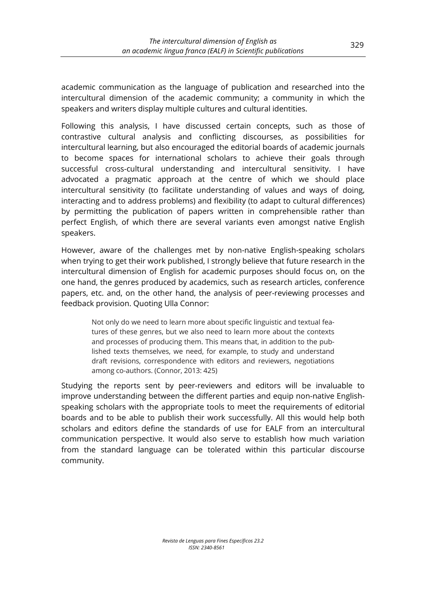academic communication as the language of publication and researched into the intercultural dimension of the academic community; a community in which the speakers and writers display multiple cultures and cultural identities.

Following this analysis, I have discussed certain concepts, such as those of contrastive cultural analysis and conflicting discourses, as possibilities for intercultural learning, but also encouraged the editorial boards of academic journals to become spaces for international scholars to achieve their goals through successful cross-cultural understanding and intercultural sensitivity. I have advocated a pragmatic approach at the centre of which we should place intercultural sensitivity (to facilitate understanding of values and ways of doing, interacting and to address problems) and flexibility (to adapt to cultural differences) by permitting the publication of papers written in comprehensible rather than perfect English, of which there are several variants even amongst native English speakers.

However, aware of the challenges met by non-native English-speaking scholars when trying to get their work published, I strongly believe that future research in the intercultural dimension of English for academic purposes should focus on, on the one hand, the genres produced by academics, such as research articles, conference papers, etc. and, on the other hand, the analysis of peer-reviewing processes and feedback provision. Quoting Ulla Connor:

Not only do we need to learn more about specific linguistic and textual features of these genres, but we also need to learn more about the contexts and processes of producing them. This means that, in addition to the published texts themselves, we need, for example, to study and understand draft revisions, correspondence with editors and reviewers, negotiations among co-authors. (Connor, 2013: 425)

Studying the reports sent by peer-reviewers and editors will be invaluable to improve understanding between the different parties and equip non-native Englishspeaking scholars with the appropriate tools to meet the requirements of editorial boards and to be able to publish their work successfully. All this would help both scholars and editors define the standards of use for EALF from an intercultural communication perspective. It would also serve to establish how much variation from the standard language can be tolerated within this particular discourse community.

> *Revista de Lenguas para Fines Específicos 23.2 ISSN: 2340-8561*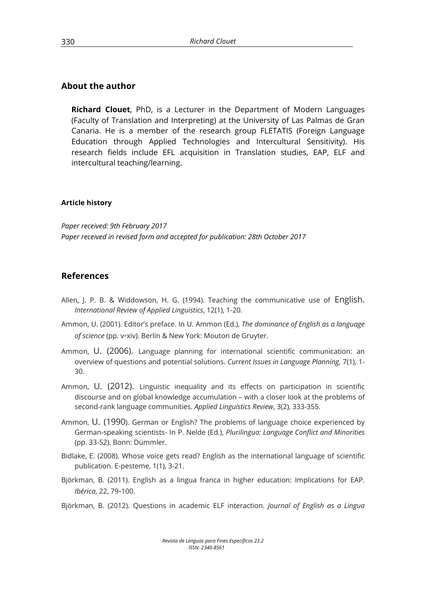#### **About the author**

**Richard Clouet**, PhD, is a Lecturer in the Department of Modern Languages (Faculty of Translation and Interpreting) at the University of Las Palmas de Gran Canaria. He is a member of the research group FLETATIS (Foreign Language Education through Applied Technologies and Intercultural Sensitivity). His research fields include EFL acquisition in Translation studies, EAP, ELF and intercultural teaching/learning.

#### **Article history**

*Paper received: 9th February 2017 Paper received in revised form and accepted for publication: 28th October 2017*

#### **References**

- Allen, J. P. B. & Widdowson, H. G. (1994). Teaching the communicative use of English. *International Review of Applied Linguistics*, 12(1), 1-20.
- Ammon, U. (2001). Editor's preface. In U. Ammon (Ed.), *The dominance of English as a language of science* (pp. v-xiv). Berlin & New York: Mouton de Gruyter.
- Ammon, U. (2006). Language planning for international scientific communication: an overview of questions and potential solutions. *Current Issues in Language Planning*, 7(1), 1- 30.
- Ammon, U. (2012). Linguistic inequality and its effects on participation in scientific discourse and on global knowledge accumulation – with a closer look at the problems of second-rank language communities. *Applied Linguistics Review*, 3(2), 333-355.
- Ammon, U. (1990). German or English? The problems of language choice experienced by German-speaking scientists- In P. Nelde (Ed.), *Plurilingua: Language Conflict and Minorities* (pp. 33-52). Bonn: Dümmler.
- Bidlake, E. (2008). Whose voice gets read? English as the international language of scientific publication. E-pesteme, 1(1), 3-21.
- Björkman, B. (2011). English as a lingua franca in higher education: Implications for EAP. *Ibérica*, 22, 79-100.
- Björkman, B. (2012). Questions in academic ELF interaction. *Journal of English as a Lingua*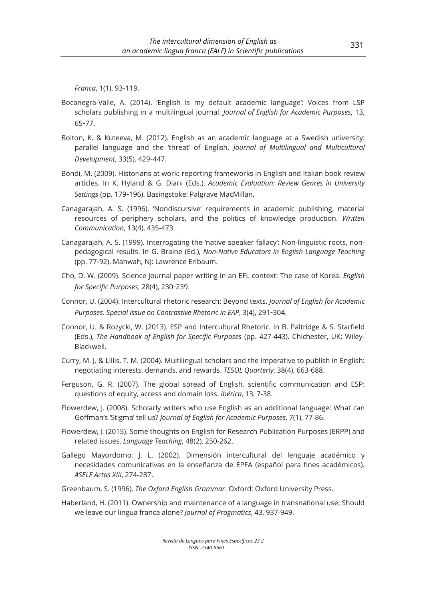*Franca*, 1(1), 93-119.

- Bocanegra-Valle, A. (2014). 'English is my default academic language': Voices from LSP scholars publishing in a multilingual journal. *Journal of English for Academic Purposes*, 13, 65-77.
- Bolton, K. & Kuteeva, M. (2012). English as an academic language at a Swedish university: parallel language and the 'threat' of English. *Journal of Multilingual and Multicultural Development*, 33(5), 429-447.
- Bondi, M. (2009). Historians at work: reporting frameworks in English and Italian book review articles. In K. Hyland & G. Diani (Eds.), *Academic Evaluation: Review Genres in University Settings* (pp. 179-196). Basingstoke: Palgrave MacMillan.
- Canagarajah, A. S. (1996). 'Nondiscursive' requirements in academic publishing, material resources of periphery scholars, and the politics of knowledge production. *Written Communication*, 13(4), 435-473.
- Canagarajah, A. S. (1999). Interrogating the 'native speaker fallacy': Non-linguistic roots, nonpedagogical results. In G. Braine (Ed.), *Non-Native Educators in English Language Teaching* (pp. 77-92). Mahwah, NJ: Lawrence Erlbaum.
- Cho, D. W. (2009). Science journal paper writing in an EFL context: The case of Korea. *English for Specific Purposes*, 28(4), 230-239.
- Connor, U. (2004). Intercultural rhetoric research: Beyond texts. *Journal of English for Academic Purposes. Special Issue on Contrastive Rhetoric in EAP*, 3(4), 291-304.
- Connor, U. & Rozycki, W. (2013). ESP and Intercultural Rhetoric. In B. Paltridge & S. Starfield (Eds.), *The Handbook of English for Specific Purposes* (pp. 427-443). Chichester, UK: Wiley-Blackwell.
- Curry, M. J. & Lillis, T. M. (2004). Multilingual scholars and the imperative to publish in English: negotiating interests, demands, and rewards. *TESOL Quarterly*, 38(4), 663-688.
- Ferguson, G. R. (2007). The global spread of English, scientific communication and ESP: questions of equity, access and domain loss. *Ibérica*, 13, 7-38.
- Flowerdew, J. (2008). Scholarly writers who use English as an additional language: What can Goffman's 'Stigma' tell us? *Journal of English for Academic Purposes*, 7(1), 77-86.
- Flowerdew, J. (2015). Some thoughts on English for Research Publication Purposes (ERPP) and related issues. *Language Teaching*, 48(2), 250-262.
- Gallego Mayordomo, J. L. (2002). Dimensión intercultural del lenguaje académico y necesidades comunicativas en la enseñanza de EPFA (español para fines académicos). *ASELE Actas XIII*, 274-287.
- Greenbaum, S. (1996). *The Oxford English Grammar*. Oxford: Oxford University Press.
- Haberland, H. (2011). Ownership and maintenance of a language in transnational use: Should we leave our lingua franca alone? *Journal of Pragmatics*, 43, 937-949.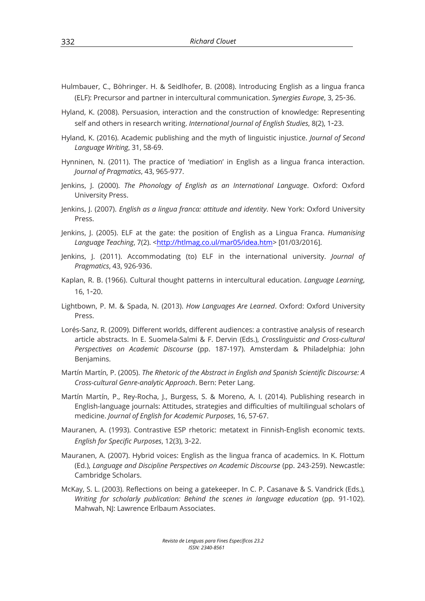- Hulmbauer, C., Böhringer. H. & Seidlhofer, B. (2008). Introducing English as a lingua franca (ELF): Precursor and partner in intercultural communication. *Synergies Europe*, 3, 25-36.
- Hyland, K. (2008). Persuasion, interaction and the construction of knowledge: Representing self and others in research writing. *International Journal of English Studies*, 8(2), 1-23.
- Hyland, K. (2016). Academic publishing and the myth of linguistic injustice. *Journal of Second Language Writing*, 31, 58-69.
- Hynninen, N. (2011). The practice of 'mediation' in English as a lingua franca interaction. *Journal of Pragmatics*, 43, 965-977.
- Jenkins, J. (2000). *The Phonology of English as an International Language*. Oxford: Oxford University Press.
- Jenkins, J. (2007). *English as a lingua franca: attitude and identity*. New York: Oxford University Press.
- Jenkins, J. (2005). ELF at the gate: the position of English as a Lingua Franca. *Humanising*  Language Teaching, 7(2). <http://htlmag.co.ul/mar05/idea.htm> [01/03/2016].
- Jenkins, J. (2011). Accommodating (to) ELF in the international university. *Journal of Pragmatics*, 43, 926-936.
- Kaplan, R. B. (1966). Cultural thought patterns in intercultural education. *Language Learning*, 16, 1-20.
- Lightbown, P. M. & Spada, N. (2013). *How Languages Are Learned*. Oxford: Oxford University Press.
- Lorés-Sanz, R. (2009). Different worlds, different audiences: a contrastive analysis of research article abstracts. In E. Suomela-Salmi & F. Dervin (Eds.), *Crosslinguistic and Cross-cultural Perspectives on Academic Discourse* (pp. 187-197). Amsterdam & Philadelphia: John Benjamins.
- Martín Martín, P. (2005). *The Rhetoric of the Abstract in English and Spanish Scientific Discourse: A Cross-cultural Genre-analytic Approach*. Bern: Peter Lang.
- Martín Martín, P., Rey-Rocha, J., Burgess, S. & Moreno, A. I. (2014). Publishing research in English-language journals: Attitudes, strategies and difficulties of multilingual scholars of medicine. *Journal of English for Academic Purposes*, 16, 57-67.
- Mauranen, A. (1993). Contrastive ESP rhetoric: metatext in Finnish-English economic texts. *English for Specific Purposes*, 12(3), 3-22.
- Mauranen, A. (2007). Hybrid voices: English as the lingua franca of academics. In K. Flottum (Ed.), *Language and Discipline Perspectives on Academic Discourse* (pp. 243-259). Newcastle: Cambridge Scholars.
- McKay, S. L. (2003). Reflections on being a gatekeeper. In C. P. Casanave & S. Vandrick (Eds.), *Writing for scholarly publication: Behind the scenes in language education* (pp. 91-102). Mahwah, NJ: Lawrence Erlbaum Associates.